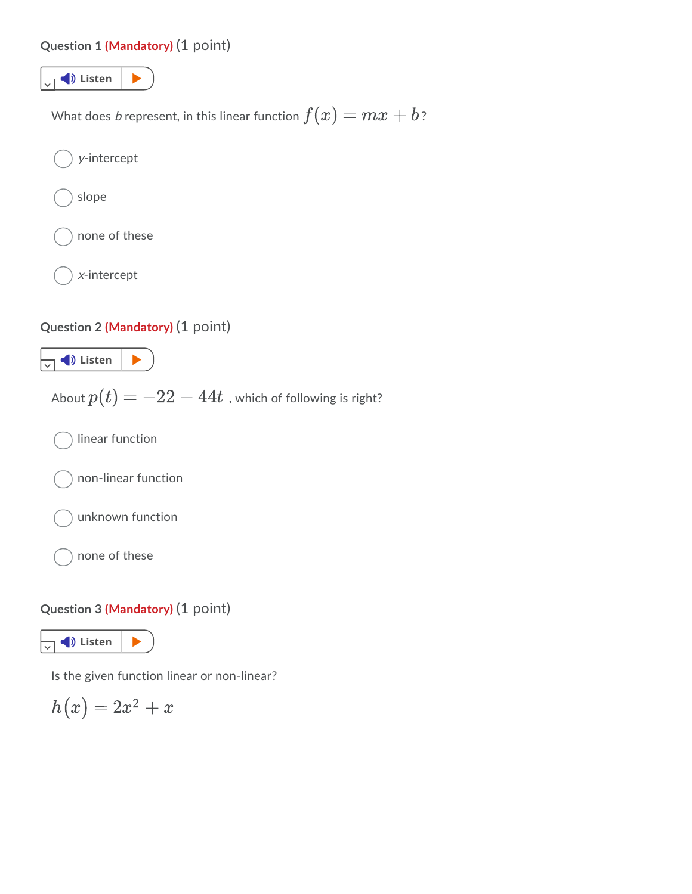### **[Question](https://app.readspeaker.com/cgi-bin/rsent?customerid=8954&url=https%3A%2F%2Fcolstate.view.usg.edu%2Fd2l%2Flms%2Fquizzing%2Fuser%2Fattempt%2Fquiz_attempt_page_auto.d2l&lang=en_us&voice=8954&voice=Kate&readid=d2l_read_element_1) 1 (Mandatory)** (1 point)



#### **Question 3 (Mandatory)** (1 point)

 $\overline{\mathbf{v}}$   $\blacklozenge$  Listen  $\blacktriangleright$ 

Is the given function linear or non-linear?

$$
h\big(x\big)=2x^2+x
$$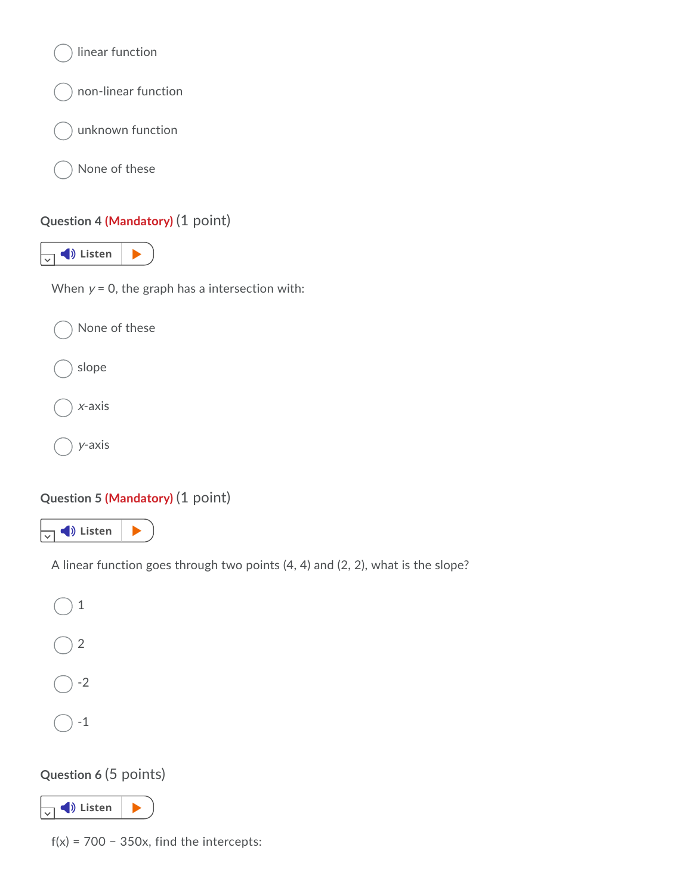

# **Question 5 (Mandatory)** (1 point)



A linear function goes through two points (4, 4) and (2, 2), what is the slope?



# **Question 6** (5 points)



 $f(x) = 700 - 350x$ , find the intercepts: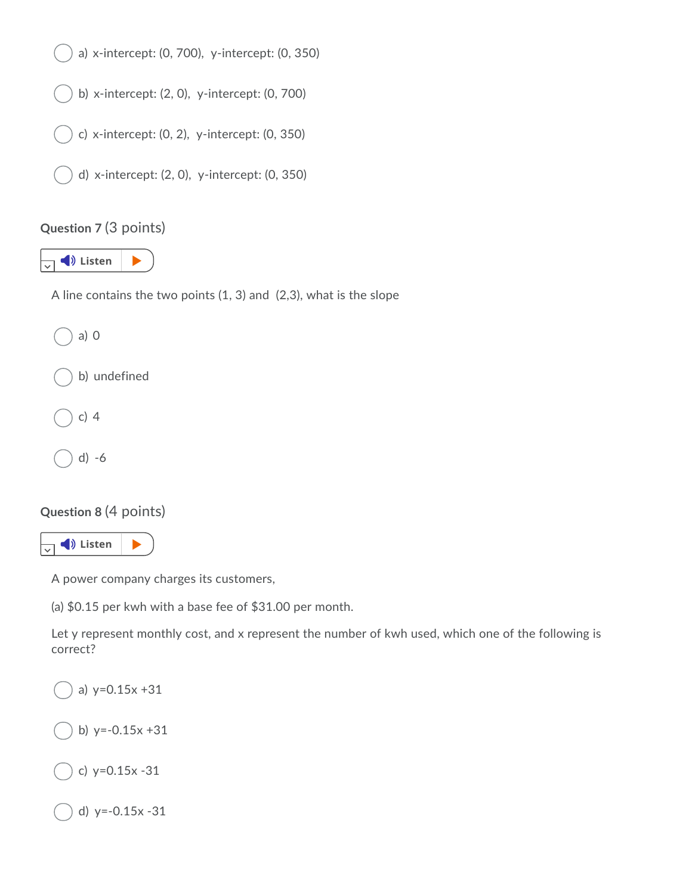

# **Question 7** (3 points)



A line contains the two points (1, 3) and (2,3), what is the slope



# **Question 8** (4 points)



A power company charges its customers,

(a) \$0.15 per kwh with a base fee of \$31.00 per month.

Let y represent monthly cost, and x represent the number of kwh used, which one of the following is correct?

a) y=0.15x +31 b)  $y=-0.15x +31$ c) y=0.15x -31 d) y=-0.15x -31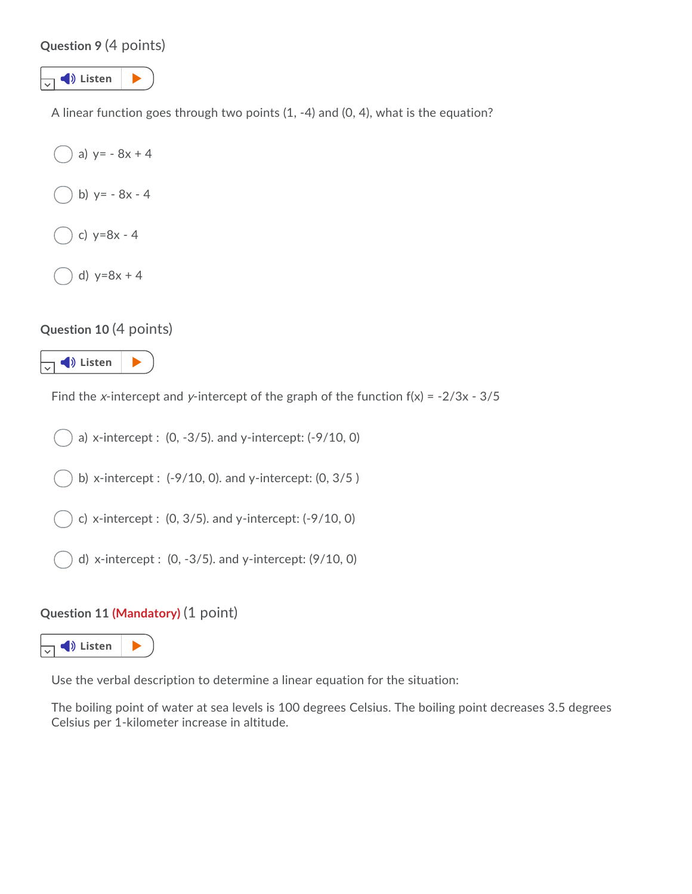### **[Question](https://app.readspeaker.com/cgi-bin/rsent?customerid=8954&url=https%3A%2F%2Fcolstate.view.usg.edu%2Fd2l%2Flms%2Fquizzing%2Fuser%2Fattempt%2Fquiz_attempt_page_auto.d2l&lang=en_us&voice=8954&voice=Kate&readid=d2l_read_element_9) 9** (4 points)



A linear function goes through two points (1, -4) and (0, 4), what is the equation?

```
a) y = -8x + 4b) y = -8x - 4c) y=8x - 4
d) y=8x + 4
```
#### **Question 10** (4 points)



Find the x-intercept and y-intercept of the graph of the function  $f(x) = -2/3x - 3/5$ 

a) [x-intercept](https://app.readspeaker.com/cgi-bin/rsent?customerid=8954&url=https%3A%2F%2Fcolstate.view.usg.edu%2Fd2l%2Flms%2Fquizzing%2Fuser%2Fattempt%2Fquiz_attempt_page_auto.d2l&lang=en_us&voice=8954&voice=Kate&readid=d2l_read_element_11) : (0, -3/5). and y-intercept: (-9/10, 0)

b) x-intercept : (-9/10, 0). and y-intercept: (0, 3/5 )

c) x-intercept : (0, 3/5). and y-intercept: (-9/10, 0)

d) x-intercept : (0, -3/5). and y-intercept: (9/10, 0)

#### **Question 11 (Mandatory)** (1 point)



Use the verbal description to determine a linear equation for the situation:

The boiling point of water at sea levels is 100 degrees Celsius. The boiling point decreases 3.5 degrees Celsius per 1-kilometer increase in altitude.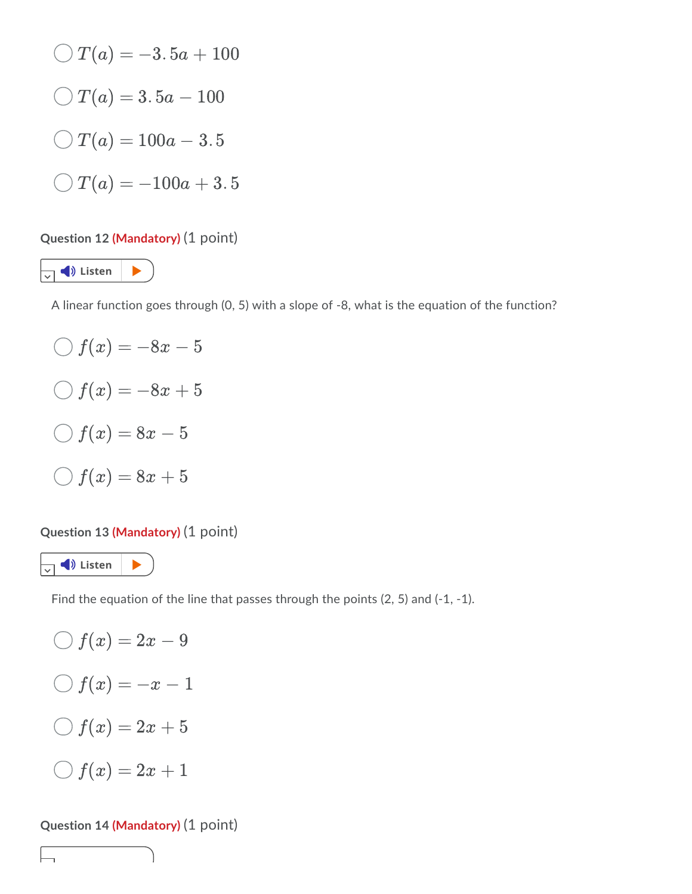$$
\bigcirc T(a) = -3.5a + 100
$$
  

$$
\bigcirc T(a) = 3.5a - 100
$$
  

$$
\bigcirc T(a) = 100a - 3.5
$$
  

$$
\bigcirc T(a) = -100a + 3.5
$$

### **Question 12 (Mandatory)** (1 point)

 $\sqrt{ }$  **D** Listen  $\blacktriangleright$ 

A linear function goes through (0, 5) with a slope of -8, what is the equation of the function?

 $\bigcirc$  f(x) = -8x - 5  $\bigcirc$  f(x) = -8x + 5  $\bigcirc$  f(x) = 8x - 5  $\bigcirc$   $f(x) = 8x + 5$ 

### **Question 13 (Mandatory)** (1 point)



Find the equation of the line that passes through the points (2, 5) and (-1, -1).

$$
\bigcirc f(x) = 2x - 9
$$
  

$$
\bigcirc f(x) = -x - 1
$$
  

$$
\bigcirc f(x) = 2x + 5
$$
  

$$
\bigcirc f(x) = 2x + 1
$$

#### **Question 14 (Mandatory)** (1 point)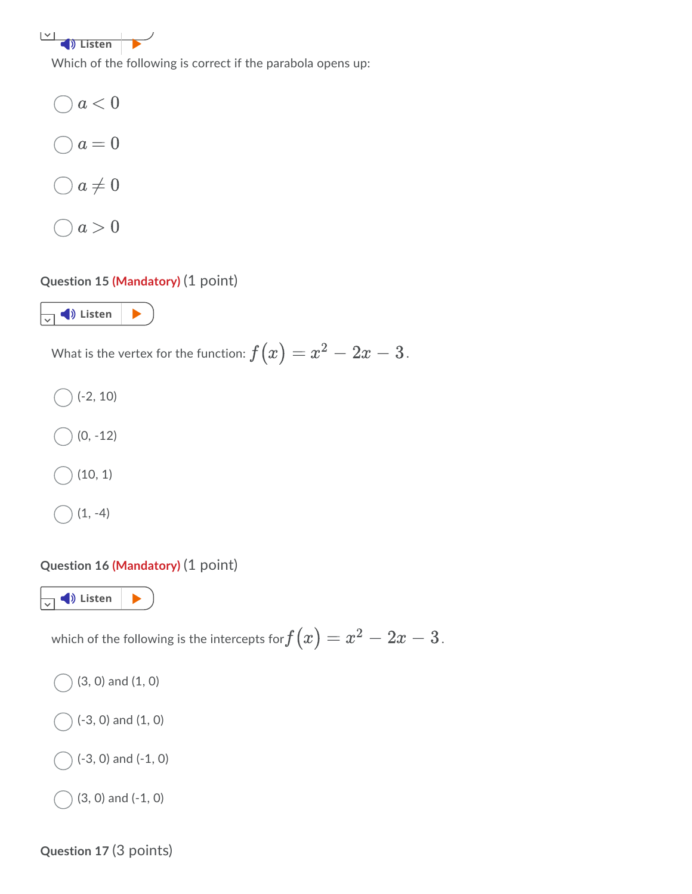**[Listen](https://app.readspeaker.com/cgi-bin/rsent?customerid=8954&url=https%3A%2F%2Fcolstate.view.usg.edu%2Fd2l%2Flms%2Fquizzing%2Fuser%2Fattempt%2Fquiz_attempt_page_auto.d2l&lang=en_us&voice=8954&voice=Kate&readid=d2l_read_element_14)** 

Which of the following is correct if the parabola opens up:

 $a < 0$ )  $a=0$  $\bigcirc a \neq 0$  $O \mid a > 0$ 

### **[Question](https://app.readspeaker.com/cgi-bin/rsent?customerid=8954&url=https%3A%2F%2Fcolstate.view.usg.edu%2Fd2l%2Flms%2Fquizzing%2Fuser%2Fattempt%2Fquiz_attempt_page_auto.d2l&lang=en_us&voice=8954&voice=Kate&readid=d2l_read_element_15) 15 (Mandatory)** (1 point)



What is the vertex for the function:  $f\big(x\big)=x^2-2x-3$  .

(-2, 10) (0, -12) (10, 1)



### **Question 16 (Mandatory)** (1 point)

 $\sqrt{ }$  **Listen** 

which of the following is the intercepts for $f\big(x\big)=x^2-2x-3$  .

(3, 0) and (1, 0) (-3, 0) and (1, 0) (-3, 0) and (-1, 0) (3, 0) and (-1, 0)

**Question 17** (3 points)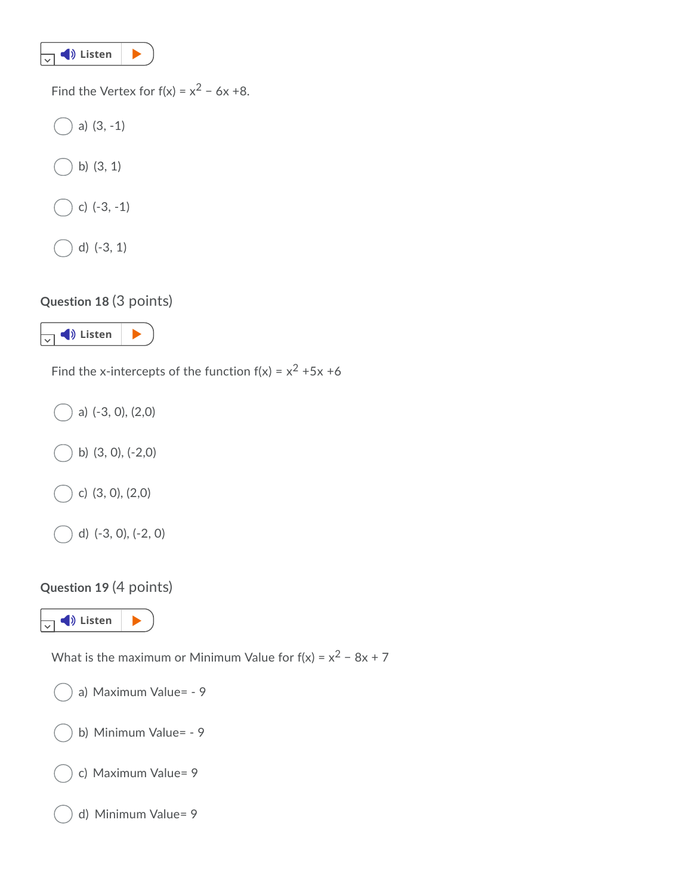

Find the Vertex for  $f(x) = x^2 - 6x + 8$ .

a) (3, -1) b) (3, 1) c) (-3, -1)

d) (-3, 1)

**[Question](https://app.readspeaker.com/cgi-bin/rsent?customerid=8954&url=https%3A%2F%2Fcolstate.view.usg.edu%2Fd2l%2Flms%2Fquizzing%2Fuser%2Fattempt%2Fquiz_attempt_page_auto.d2l&lang=en_us&voice=8954&voice=Kate&readid=d2l_read_element_18) 18** (3 points)

 $\sqrt{ }$  **Listen**  $\blacktriangleright$ 

Find the [x-intercep](https://app.readspeaker.com/cgi-bin/rsent?customerid=8954&url=https%3A%2F%2Fcolstate.view.usg.edu%2Fd2l%2Flms%2Fquizzing%2Fuser%2Fattempt%2Fquiz_attempt_page_auto.d2l&lang=en_us&voice=8954&voice=Kate&readid=d2l_read_element_19)ts of the function  $f(x) = x^2 + 5x + 6$ 

a) (-3, 0), (2,0) b) (3, 0), (-2,0) c) (3, 0), (2,0)

## **Question 19** (4 points)

d) (-3, 0), (-2, 0)

 $\overline{\mathbf{v}}$   $\blacklozenge$  Listen  $\blacktriangleright$ 

What is the maximum or Minimum Value for  $f(x) = x^2 - 8x + 7$ 

a) Maximum Value= - 9

b) Minimum Value= - 9

c) Maximum Value= 9

d) Minimum Value= 9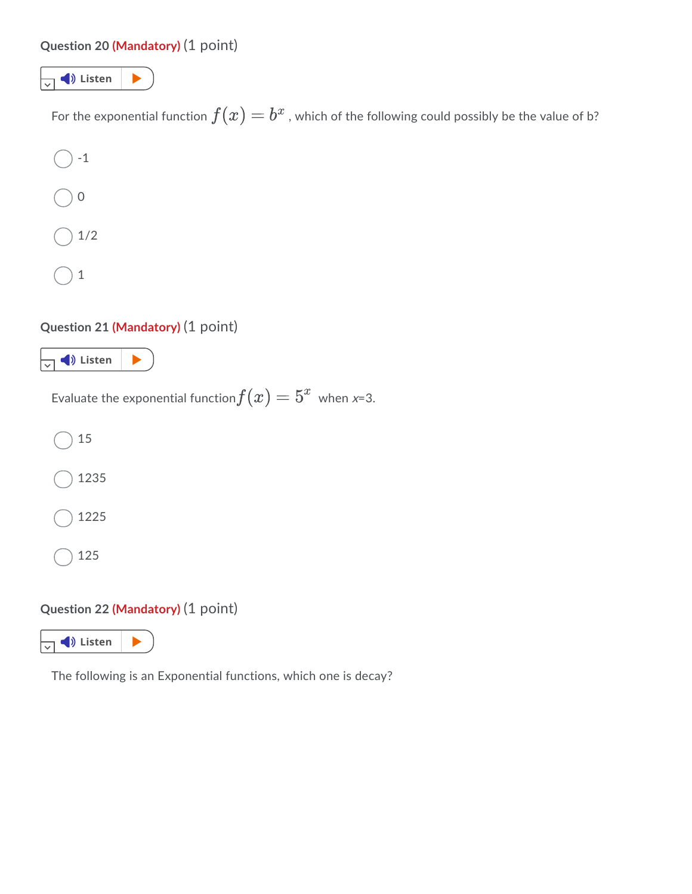### **[Question](https://app.readspeaker.com/cgi-bin/rsent?customerid=8954&url=https%3A%2F%2Fcolstate.view.usg.edu%2Fd2l%2Flms%2Fquizzing%2Fuser%2Fattempt%2Fquiz_attempt_page_auto.d2l&lang=en_us&voice=8954&voice=Kate&readid=d2l_read_element_20) 20 (Mandatory)** (1 point)



For the [exponentia](https://app.readspeaker.com/cgi-bin/rsent?customerid=8954&url=https%3A%2F%2Fcolstate.view.usg.edu%2Fd2l%2Flms%2Fquizzing%2Fuser%2Fattempt%2Fquiz_attempt_page_auto.d2l&lang=en_us&voice=8954&voice=Kate&readid=d2l_read_element_21)l function  $f(x)=b^x$  , which of the following could possibly be the value of b?

-1 0 1/2 1

## **Question 21 (Mandatory)** (1 point)



Evaluate the exponential function $f(x)=5^x\,$  when *x*=3.

15 1235 1225

125

# **Question 22 (Mandatory)** (1 point)



The following is an Exponential functions, which one is decay?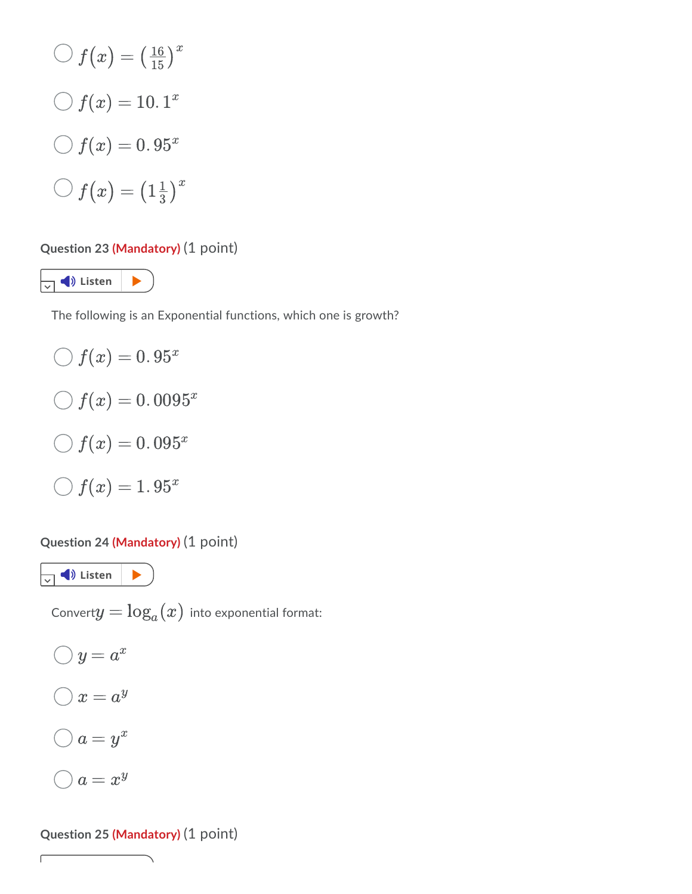$$
\bigcirc f(x) = \left(\frac{16}{15}\right)^x
$$

$$
\bigcirc f(x) = 10.1^x
$$

$$
\bigcirc f(x) = 0.95^x
$$

$$
\bigcirc f(x) = \left(1\frac{1}{3}\right)^x
$$

#### **Question 23 (Mandatory)** (1 point)

 $\overline{\mathbf{v}}$  **4** Listen  $\mathbf{v}$ 

The following is an Exponential functions, which one is growth?

 $f(x) = 0.95^x$  $f(x) = 0.0095^x$  $f(x) = 0.095^x$  $f(x) = 1.95^x$ 

#### **Question 24 (Mandatory)** (1 point)

 $\boxed{\downarrow}$  **Listen**  $\boxed{\blacktriangleright}$ 

Convert $y = \log_a(x)$  into exponential format:

 $y=a^x$  $x = a^y$  $a = y^x$  $a = x^y$ 

ſ

# **Question 25 (Mandatory)** (1 point)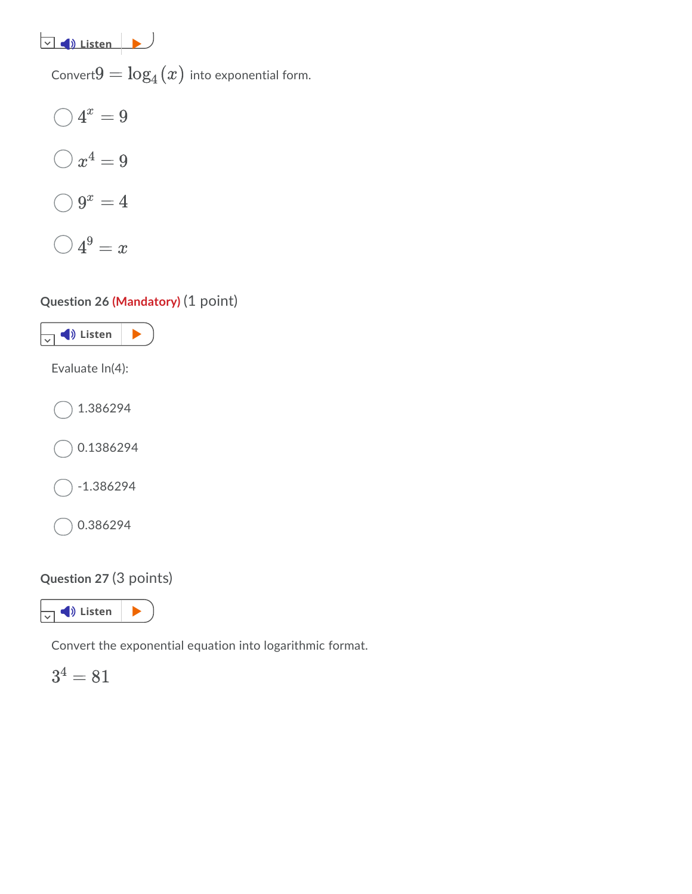**[Listen](https://app.readspeaker.com/cgi-bin/rsent?customerid=8954&url=https%3A%2F%2Fcolstate.view.usg.edu%2Fd2l%2Flms%2Fquizzing%2Fuser%2Fattempt%2Fquiz_attempt_page_auto.d2l&lang=en_us&voice=8954&voice=Kate&readid=d2l_read_element_25)** 

Convert $9 = \log_4(x)$  into exponential form.

$$
\bigcirc 4^x = 9
$$

$$
\bigcirc x^4 = 9
$$

$$
\bigcirc 9^x = 4
$$

$$
\bigcirc 4^9 = x
$$

# **[Question](https://app.readspeaker.com/cgi-bin/rsent?customerid=8954&url=https%3A%2F%2Fcolstate.view.usg.edu%2Fd2l%2Flms%2Fquizzing%2Fuser%2Fattempt%2Fquiz_attempt_page_auto.d2l&lang=en_us&voice=8954&voice=Kate&readid=d2l_read_element_26) 26 (Mandatory)** (1 point)



# **Question 27** (3 points)

 $\sqrt{ }$  **C** Listen  $\|$ 

Convert the exponential equation into logarithmic format.

 $3^4 = 81$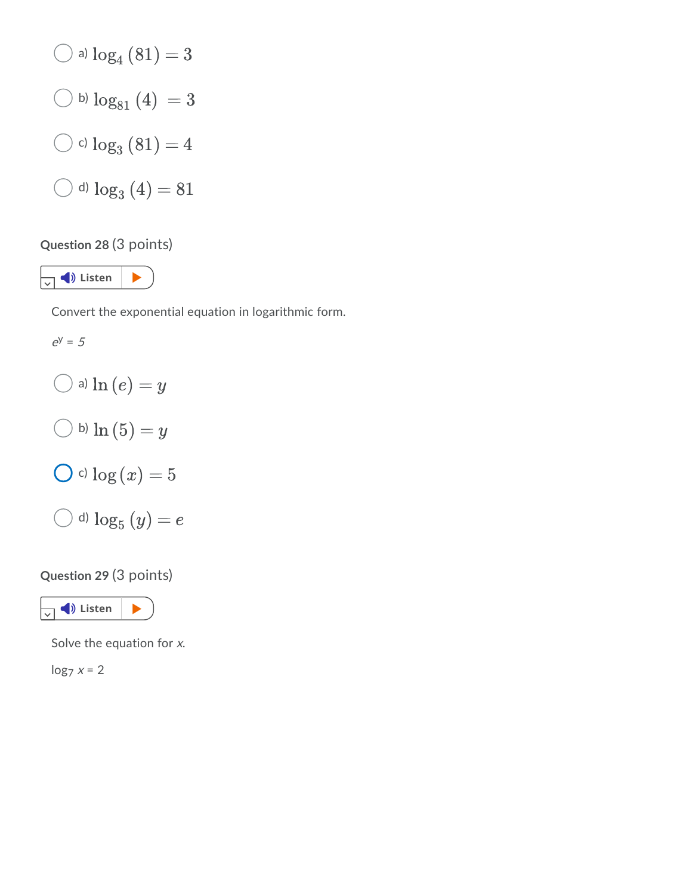

# **[Question](https://app.readspeaker.com/cgi-bin/rsent?customerid=8954&url=https%3A%2F%2Fcolstate.view.usg.edu%2Fd2l%2Flms%2Fquizzing%2Fuser%2Fattempt%2Fquiz_attempt_page_auto.d2l&lang=en_us&voice=8954&voice=Kate&readid=d2l_read_element_28) 28** (3 points)

 $\sqrt{ }$  **Listen**  $\blacktriangleright$ 

Convert the exponential equation in logarithmic form.

 $e^y = 5$  $\bigcirc$  a)  $\ln{(e)} = y$  $\bigcirc$  b)  $\ln{(5)} = y$  $\bigcirc$  c)  $\log(x) = 5$  $\bigcirc$  d)  $\log_5{(y)} = e$ 

# **Question 29** (3 points)



Solve the equation for  $x$ .

 $\log_7 x = 2$